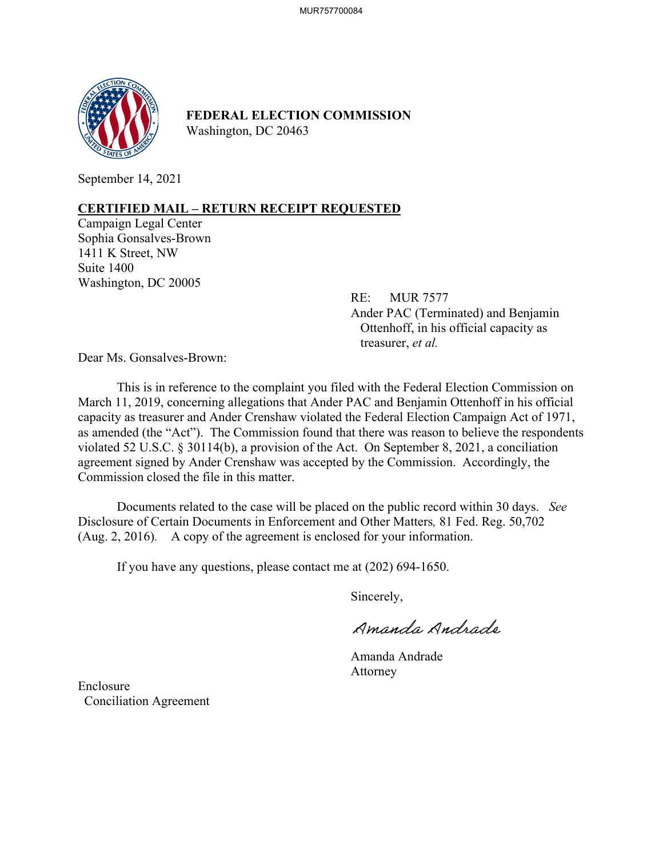

**FEDERAL ELECTION COMMISSION** Washington, DC 20463

September 14, 2021

## **CERTIFIED MAIL – RETURN RECEIPT REQUESTED**

Campaign Legal Center Sophia Gonsalves-Brown 1411 K Street, NW Suite 1400 Washington, DC 20005

> RE: MUR 7577 Ander PAC (Terminated) and Benjamin Ottenhoff, in his official capacity as treasurer, *et al.*

Dear Ms. Gonsalves-Brown:

This is in reference to the complaint you filed with the Federal Election Commission on March 11, 2019, concerning allegations that Ander PAC and Benjamin Ottenhoff in his official capacity as treasurer and Ander Crenshaw violated the Federal Election Campaign Act of 1971, as amended (the "Act"). The Commission found that there was reason to believe the respondents violated 52 U.S.C. § 30114(b), a provision of the Act. On September 8, 2021, a conciliation agreement signed by Ander Crenshaw was accepted by the Commission. Accordingly, the Commission closed the file in this matter.

Documents related to the case will be placed on the public record within 30 days. *See*  Disclosure of Certain Documents in Enforcement and Other Matters*,* 81 Fed. Reg. 50,702 (Aug. 2, 2016). A copy of the agreement is enclosed for your information.

If you have any questions, please contact me at (202) 694-1650.

Sincerely,

Amanda Andrade

 Amanda Andrade Attorney

Enclosure Conciliation Agreement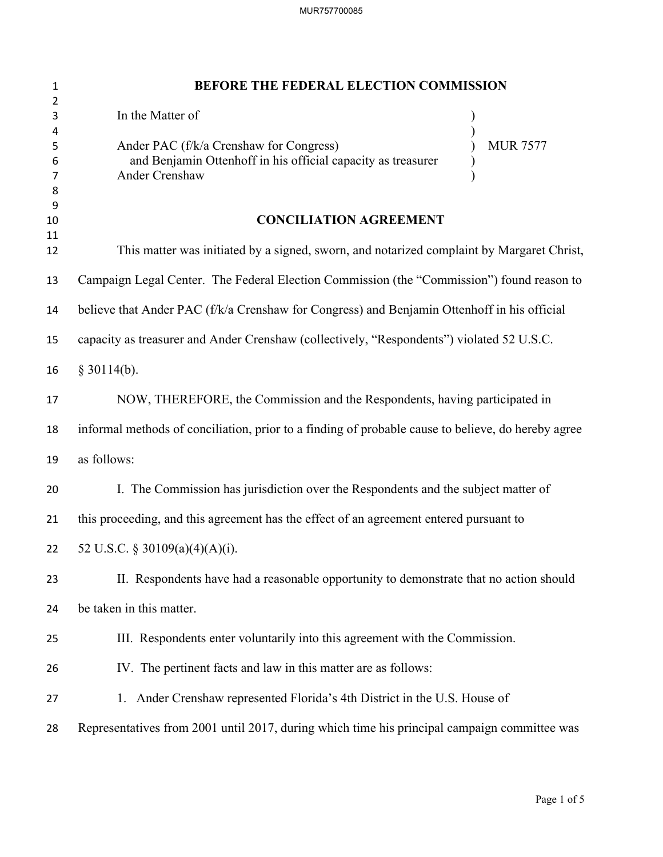| $\mathbf{1}$          | BEFORE THE FEDERAL ELECTION COMMISSION                                                                                                       |
|-----------------------|----------------------------------------------------------------------------------------------------------------------------------------------|
| 2<br>3                | In the Matter of                                                                                                                             |
| 4<br>5<br>6<br>7<br>8 | <b>MUR 7577</b><br>Ander PAC (f/k/a Crenshaw for Congress)<br>and Benjamin Ottenhoff in his official capacity as treasurer<br>Ander Crenshaw |
| 9<br>10               | <b>CONCILIATION AGREEMENT</b>                                                                                                                |
| 11<br>12              | This matter was initiated by a signed, sworn, and notarized complaint by Margaret Christ,                                                    |
| 13                    | Campaign Legal Center. The Federal Election Commission (the "Commission") found reason to                                                    |
| 14                    | believe that Ander PAC (f/k/a Crenshaw for Congress) and Benjamin Ottenhoff in his official                                                  |
| 15                    | capacity as treasurer and Ander Crenshaw (collectively, "Respondents") violated 52 U.S.C.                                                    |
| 16                    | $§$ 30114(b).                                                                                                                                |
| 17                    | NOW, THEREFORE, the Commission and the Respondents, having participated in                                                                   |
| 18                    | informal methods of conciliation, prior to a finding of probable cause to believe, do hereby agree                                           |
| 19                    | as follows:                                                                                                                                  |
| 20                    | I. The Commission has jurisdiction over the Respondents and the subject matter of                                                            |
| 21                    | this proceeding, and this agreement has the effect of an agreement entered pursuant to                                                       |
| 22                    | 52 U.S.C. § 30109(a)(4)(A)(i).                                                                                                               |
| 23                    | II. Respondents have had a reasonable opportunity to demonstrate that no action should                                                       |
| 24                    | be taken in this matter.                                                                                                                     |
| 25                    | III. Respondents enter voluntarily into this agreement with the Commission.                                                                  |
| 26                    | IV. The pertinent facts and law in this matter are as follows:                                                                               |
| 27                    | 1. Ander Crenshaw represented Florida's 4th District in the U.S. House of                                                                    |
| 28                    | Representatives from 2001 until 2017, during which time his principal campaign committee was                                                 |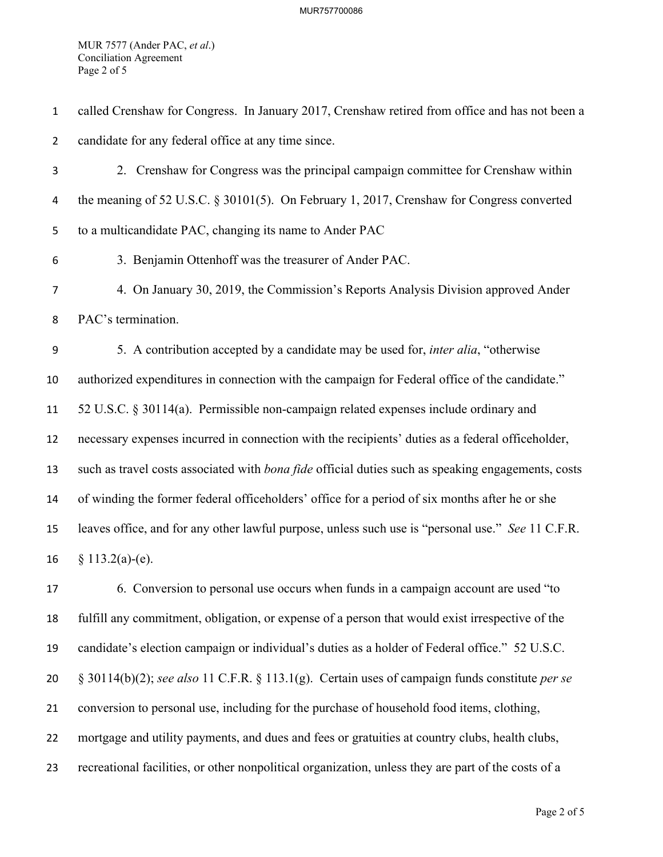MUR 7577 (Ander PAC, *et al*.) Conciliation Agreement Page 2 of 5

called Crenshaw for Congress. In January 2017, Crenshaw retired from office and has not been a candidate for any federal office at any time since. 2. Crenshaw for Congress was the principal campaign committee for Crenshaw within the meaning of 52 U.S.C. § 30101(5). On February 1, 2017, Crenshaw for Congress converted to a multicandidate PAC, changing its name to Ander PAC 3. Benjamin Ottenhoff was the treasurer of Ander PAC. 4. On January 30, 2019, the Commission's Reports Analysis Division approved Ander PAC's termination. 5. A contribution accepted by a candidate may be used for, *inter alia*, "otherwise authorized expenditures in connection with the campaign for Federal office of the candidate." 52 U.S.C. § 30114(a). Permissible non-campaign related expenses include ordinary and necessary expenses incurred in connection with the recipients' duties as a federal officeholder, such as travel costs associated with *bona fide* official duties such as speaking engagements, costs of winding the former federal officeholders' office for a period of six months after he or she leaves office, and for any other lawful purpose, unless such use is "personal use." *See* 11 C.F.R.  $§ 113.2(a)-(e)$ . 6. Conversion to personal use occurs when funds in a campaign account are used "to fulfill any commitment, obligation, or expense of a person that would exist irrespective of the

candidate's election campaign or individual's duties as a holder of Federal office." 52 U.S.C.

§ 30114(b)(2); *see also* 11 C.F.R. § 113.1(g). Certain uses of campaign funds constitute *per se*

conversion to personal use, including for the purchase of household food items, clothing,

- mortgage and utility payments, and dues and fees or gratuities at country clubs, health clubs,
- recreational facilities, or other nonpolitical organization, unless they are part of the costs of a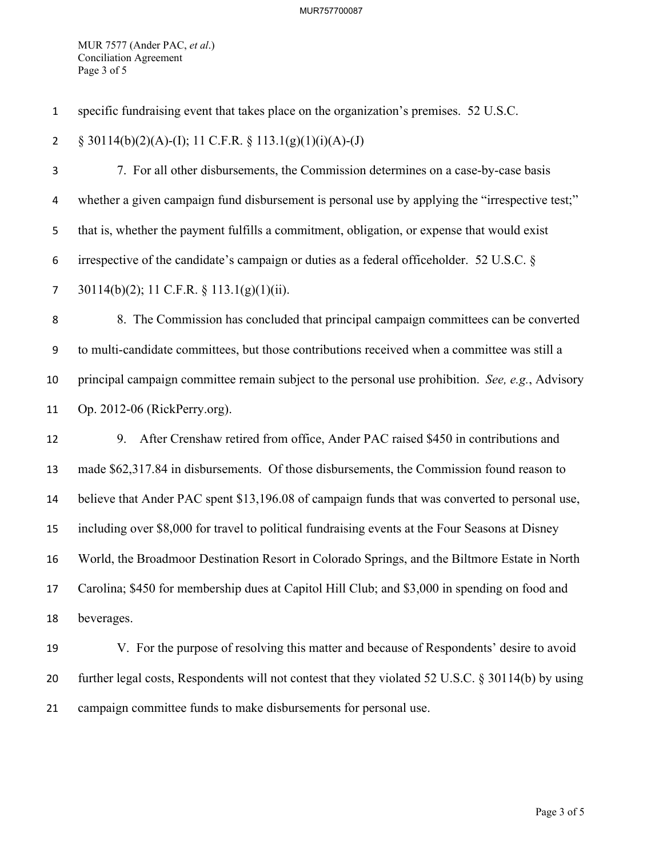MUR 7577 (Ander PAC, *et al*.) Conciliation Agreement Page 3 of 5

specific fundraising event that takes place on the organization's premises. 52 U.S.C.

2  $\S$  30114(b)(2)(A)-(I); 11 C.F.R.  $\S$  113.1(g)(1)(i)(A)-(J)

7. For all other disbursements, the Commission determines on a case-by-case basis whether a given campaign fund disbursement is personal use by applying the "irrespective test;" that is, whether the payment fulfills a commitment, obligation, or expense that would exist irrespective of the candidate's campaign or duties as a federal officeholder. 52 U.S.C. § 30114(b)(2); 11 C.F.R. § 113.1(g)(1)(ii).

8. The Commission has concluded that principal campaign committees can be converted to multi-candidate committees, but those contributions received when a committee was still a principal campaign committee remain subject to the personal use prohibition. *See, e.g.*, Advisory Op. 2012-06 (RickPerry.org).

 9. After Crenshaw retired from office, Ander PAC raised \$450 in contributions and made \$62,317.84 in disbursements. Of those disbursements, the Commission found reason to believe that Ander PAC spent \$13,196.08 of campaign funds that was converted to personal use, including over \$8,000 for travel to political fundraising events at the Four Seasons at Disney World, the Broadmoor Destination Resort in Colorado Springs, and the Biltmore Estate in North Carolina; \$450 for membership dues at Capitol Hill Club; and \$3,000 in spending on food and beverages.

 V. For the purpose of resolving this matter and because of Respondents' desire to avoid further legal costs, Respondents will not contest that they violated 52 U.S.C. § 30114(b) by using campaign committee funds to make disbursements for personal use.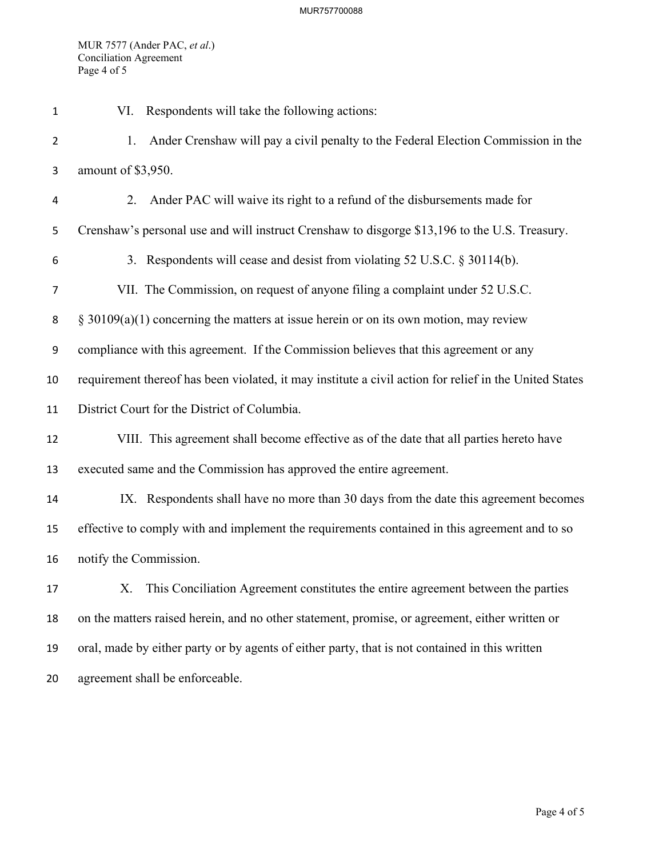MUR 7577 (Ander PAC, *et al*.) Conciliation Agreement Page 4 of 5

| $\mathbf{1}$   | VI. Respondents will take the following actions:                                                       |
|----------------|--------------------------------------------------------------------------------------------------------|
| $\overline{2}$ | Ander Crenshaw will pay a civil penalty to the Federal Election Commission in the<br>1.                |
| 3              | amount of \$3,950.                                                                                     |
| 4              | Ander PAC will waive its right to a refund of the disbursements made for<br>2.                         |
| 5              | Crenshaw's personal use and will instruct Crenshaw to disgorge \$13,196 to the U.S. Treasury.          |
| 6              | 3. Respondents will cease and desist from violating 52 U.S.C. § 30114(b).                              |
| $\overline{7}$ | VII. The Commission, on request of anyone filing a complaint under 52 U.S.C.                           |
| 8              | $\S$ 30109(a)(1) concerning the matters at issue herein or on its own motion, may review               |
| 9              | compliance with this agreement. If the Commission believes that this agreement or any                  |
| 10             | requirement thereof has been violated, it may institute a civil action for relief in the United States |
| 11             | District Court for the District of Columbia.                                                           |
| 12             | VIII. This agreement shall become effective as of the date that all parties hereto have                |
| 13             | executed same and the Commission has approved the entire agreement.                                    |
| 14             | IX. Respondents shall have no more than 30 days from the date this agreement becomes                   |
| 15             | effective to comply with and implement the requirements contained in this agreement and to so          |
| 16             | notify the Commission.                                                                                 |
| 17             | X. This Conciliation Agreement constitutes the entire agreement between the parties                    |
| 18             | on the matters raised herein, and no other statement, promise, or agreement, either written or         |
| 19             | oral, made by either party or by agents of either party, that is not contained in this written         |
| 20             | agreement shall be enforceable.                                                                        |